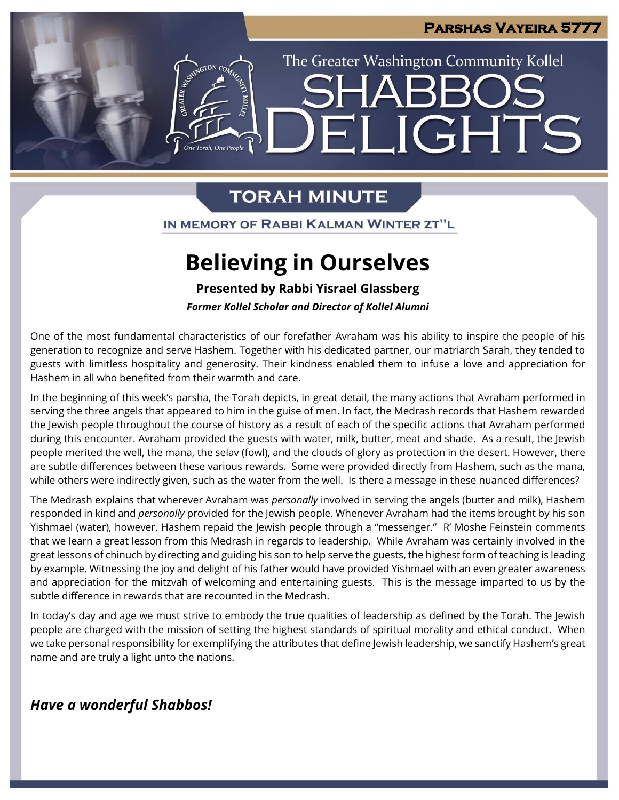

## **TORAH MINUTE**

IN MEMORY OF RABBI KALMAN WINTER ZT"L

# **Believing in Ourselves**

**Presented by Rabbi Yisrael Glassberg**

*Former Kollel Scholar and Director of Kollel Alumni*

One of the most fundamental characteristics of our forefather Avraham was his ability to inspire the people of his generation to recognize and serve Hashem. Together with his dedicated partner, our matriarch Sarah, they tended to guests with limitless hospitality and generosity. Their kindness enabled them to infuse a love and appreciation for Hashem in all who benefited from their warmth and care.

In the beginning of this week's parsha, the Torah depicts, in great detail, the many actions that Avraham performed in serving the three angels that appeared to him in the guise of men. In fact, the Medrash records that Hashem rewarded the Jewish people throughout the course of history as a result of each of the specific actions that Avraham performed during this encounter. Avraham provided the guests with water, milk, butter, meat and shade. As a result, the Jewish people merited the well, the mana, the selav (fowl), and the clouds of glory as protection in the desert. However, there are subtle differences between these various rewards. Some were provided directly from Hashem, such as the mana, while others were indirectly given, such as the water from the well. Is there a message in these nuanced differences?

The Medrash explains that wherever Avraham was *personally* involved in serving the angels (butter and milk), Hashem responded in kind and *personally* provided for the Jewish people. Whenever Avraham had the items brought by his son Yishmael (water), however, Hashem repaid the Jewish people through a "messenger." R' Moshe Feinstein comments that we learn a great lesson from this Medrash in regards to leadership. While Avraham was certainly involved in the great lessons of chinuch by directing and guiding his son to help serve the guests, the highest form of teaching is leading by example. Witnessing the joy and delight of his father would have provided Yishmael with an even greater awareness and appreciation for the mitzvah of welcoming and entertaining guests. This is the message imparted to us by the subtle difference in rewards that are recounted in the Medrash.

In today's day and age we must strive to embody the true qualities of leadership as defined by the Torah. The Jewish people are charged with the mission of setting the highest standards of spiritual morality and ethical conduct. When we take personal responsibility for exemplifying the attributes that define Jewish leadership, we sanctify Hashem's great name and are truly a light unto the nations.

## *Have a wonderful Shabbos!*